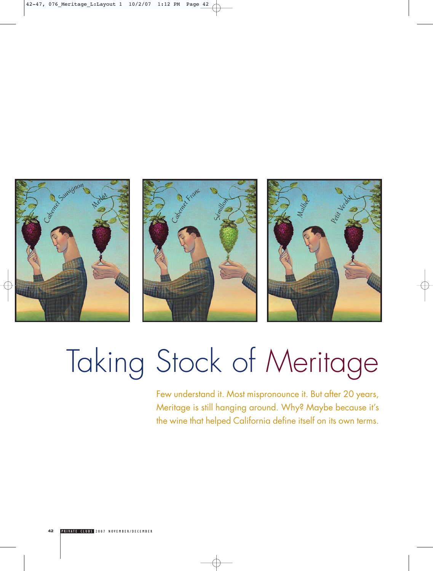





# Taking Stock of Meritage

Few understand it. Most mispronounce it. But after 20 years, Meritage is still hanging around. Why? Maybe because it's the wine that helped California define itself on its own terms.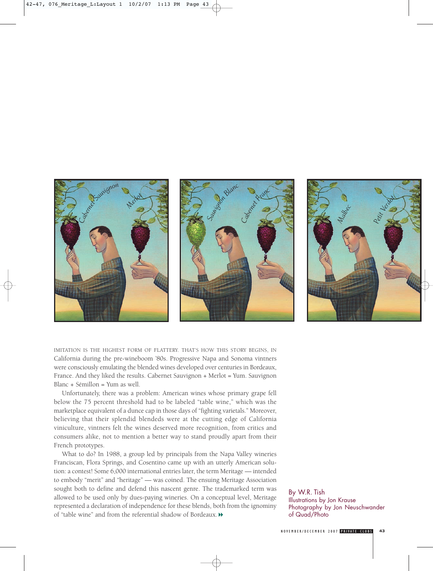

IMITATION IS THE HIGHEST FORM OF FLATTERY. THAT'S HOW THIS STORY BEGINS, IN California during the pre-wineboom '80s. Progressive Napa and Sonoma vintners were consciously emulating the blended wines developed over centuries in Bordeaux, France. And they liked the results. Cabernet Sauvignon + Merlot = Yum. Sauvignon Blanc + Sémillon = Yum as well.

Unfortunately, there was a problem: American wines whose primary grape fell below the 75 percent threshold had to be labeled "table wine," which was the marketplace equivalent of a dunce cap in those days of "fighting varietals." Moreover, believing that their splendid blendeds were at the cutting edge of California viniculture, vintners felt the wines deserved more recognition, from critics and consumers alike, not to mention a better way to stand proudly apart from their French prototypes.

What to do? In 1988, a group led by principals from the Napa Valley wineries Franciscan, Flora Springs, and Cosentino came up with an utterly American solution: a contest! Some 6,000 international entries later, the term Meritage — intended to embody "merit" and "heritage" — was coined. The ensuing Meritage Association sought both to define and defend this nascent genre. The trademarked term was allowed to be used only by dues-paying wineries. On a conceptual level, Meritage represented a declaration of independence for these blends, both from the ignominy of "table wine" and from the referential shadow of Bordeaux.  $\blacktriangleright$ 

By W.R. Tish Illustrations by Jon Krause Photography by Jon Neuschwander of Quad/Photo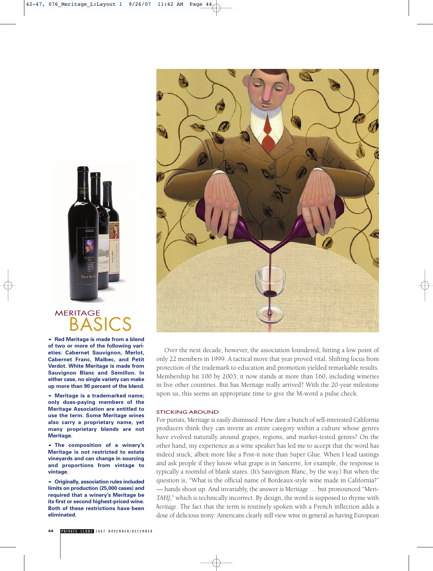

# **MERITAGE BAS**

**• Red Meritage is made from a blend of two or more of the following varieties: Cabernet Sauvignon, Merlot, Cabernet Franc, Malbec, and Petit Verdot. White Meritage is made from Sauvignon Blanc and Sémillon. In either case, no single variety can make up more than 90 percent of the blend.**

**• Meritage is a trademarked name; only dues-paying members of the Meritage Association are entitled to use the term. Some Meritage wines also carry a proprietary name, yet many proprietary blends are not Meritage.**

**• The composition of a winery's Meritage is not restricted to estate vineyards and can change in sourcing and proportions from vintage to vintage.**

**• Originally, association rules included limits on production (25,000 cases) and required that a winery's Meritage be its first or second highest-priced wine. Both of these restrictions have been eliminated.**



Over the next decade, however, the association foundered, hitting a low point of only 22 members in 1999. A tactical move that year proved vital. Shifting focus from protection of the trademark to education and promotion yielded remarkable results. Membership hit 100 by 2003; it now stands at more than 160, including wineries in five other countries. But has Meritage really arrived? With the 20-year milestone upon us, this seems an appropriate time to give the M-word a pulse check.

# STICKING AROUND

For purists, Meritage is easily dismissed. How dare a bunch of self-interested California producers think they can invent an entire category within a culture whose genres have evolved naturally around grapes, regions, and market-tested genres? On the other hand, my experience as a wine speaker has led me to accept that the word has indeed stuck, albeit more like a Post-it note than Super Glue. When I lead tastings and ask people if they know what grape is in Sancerre, for example, the response is typically a roomful of blank stares. (It's Sauvignon Blanc, by the way.) But when the question is, "What is the official name of Bordeaux-style wine made in California?" — hands shoot up. And invariably, the answer is Meritage … but pronounced "Meri-*TAHJ*," which is technically incorrect. By design, the word is supposed to rhyme with *heritage*. The fact that the term is routinely spoken with a French inflection adds a dose of delicious irony: Americans clearly still view wine in general as having European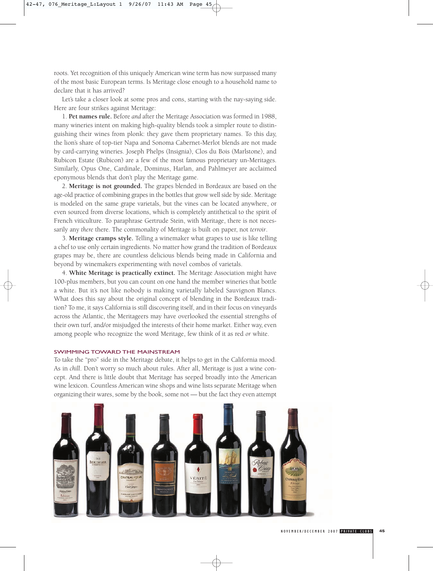roots. Yet recognition of this uniquely American wine term has now surpassed many of the most basic European terms. Is Meritage close enough to a household name to declare that it has arrived?

Let's take a closer look at some pros and cons, starting with the nay-saying side. Here are four strikes against Meritage:

1. **Pet names rule.** Before *and* after the Meritage Association was formed in 1988, many wineries intent on making high-quality blends took a simpler route to distinguishing their wines from plonk: they gave them proprietary names. To this day, the lion's share of top-tier Napa and Sonoma Cabernet-Merlot blends are not made by card-carrying wineries. Joseph Phelps (Insignia), Clos du Bois (Marlstone), and Rubicon Estate (Rubicon) are a few of the most famous proprietary un-Meritages. Similarly, Opus One, Cardinale, Dominus, Harlan, and Pahlmeyer are acclaimed eponymous blends that don't play the Meritage game.

2. **Meritage is not grounded.** The grapes blended in Bordeaux are based on the age-old practice of combining grapes in the bottles that grow well side by side. Meritage is modeled on the same grape varietals, but the vines can be located anywhere, or even sourced from diverse locations, which is completely antithetical to the spirit of French viticulture. To paraphrase Gertrude Stein, with Meritage, there is not necessarily any *there* there. The commonality of Meritage is built on paper, not *terroir*.

3. **Meritage cramps style.** Telling a winemaker what grapes to use is like telling a chef to use only certain ingredients. No matter how grand the tradition of Bordeaux grapes may be, there are countless delicious blends being made in California and beyond by winemakers experimenting with novel combos of varietals.

4. **White Meritage is practically extinct.** The Meritage Association might have 100-plus members, but you can count on one hand the member wineries that bottle a white. But it's not like nobody is making varietally labeled Sauvignon Blancs. What does this say about the original concept of blending in the Bordeaux tradition? To me, it says California is still discovering itself, and in their focus on vineyards across the Atlantic, the Meritageers may have overlooked the essential strengths of their own turf, and/or misjudged the interests of their home market. Either way, even among people who recognize the word Meritage, few think of it as red *or* white.

# SWIMMING TOWARD THE MAINSTREAM

To take the "pro" side in the Meritage debate, it helps to get in the California mood. As in *chill*. Don't worry so much about rules. After all, Meritage is just a wine concept. And there is little doubt that Meritage has seeped broadly into the American wine lexicon. Countless American wine shops and wine lists separate Meritage when organizing their wares, some by the book, some not — but the fact they even attempt

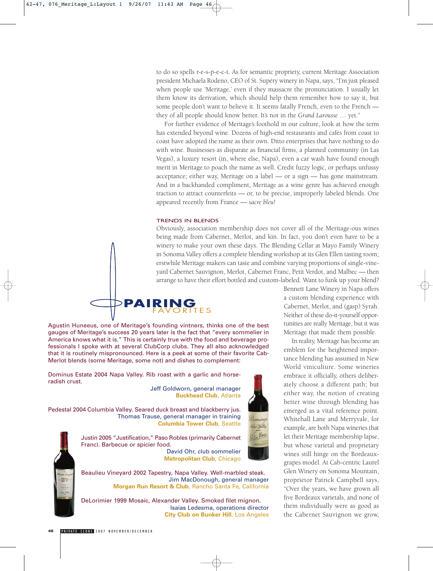to do so spells r-e-s-p-e-c-t. As for semantic propriety, current Meritage Association president Michaela Rodeno, CEO of St. Supéry winery in Napa, says, "I'm just pleased when people use 'Meritage,' even if they massacre the pronunciation. I usually let them know its derivation, which should help them remember how to say it, but some people don't want to believe it. It seems fatally French, even to the French they of all people should know better. It's not in the *Grand Larousse* … yet."

For further evidence of Meritage's foothold in our culture, look at how the term has extended beyond wine. Dozens of high-end restaurants and cafés from coast to coast have adopted the name as their own. Ditto enterprises that have nothing to do with wine. Businesses as disparate as financial firms, a planned community (in Las Vegas), a luxury resort (in, where else, Napa), even a car wash have found enough merit in Meritage to poach the name as well. Credit fuzzy logic, or perhaps unfussy acceptance; either way, Meritage on a label — or a sign — has gone mainstream. And in a backhanded compliment, Meritage as a wine genre has achieved enough traction to attract counterfeits — or, to be precise, improperly labeled blends. One appeared recently from France — *sacre bleu!*

# TRENDS IN BLENDS

Obviously, association membership does not cover all of the Meritage-ous wines being made from Cabernet, Merlot, and kin. In fact, you don't even have to be a winery to make your own these days. The Blending Cellar at Mayo Family Winery in Sonoma Valley offers a complete blending workshop at its Glen Ellen tasting room; erstwhile Meritage makers can taste and combine varying proportions of single-vineyard Cabernet Sauvignon, Merlot, Cabernet Franc, Petit Verdot, and Malbec — then arrange to have their effort bottled and custom-labeled. Want to funk up your blend?



Agustin Huneeus, one of Meritage's founding vintners, thinks one of the best gauges of Meritage's success 20 years later is the fact that "every sommelier in America knows what it is." This is certainly true with the food and beverage professionals I spoke with at several ClubCorp clubs. They all also acknowledged that it is routinely mispronounced. Here is a peek at some of their favorite Cab-Merlot blends (some Meritage, some not) and dishes to complement:

Dominus Estate 2004 Napa Valley. Rib roast with a garlic and horseradish crust.

> Jeff Goldworn, general manager **Buckhead Club**, Atlanta

Pedestal 2004 Columbia Valley. Seared duck breast and blackberry jus. Thomas Trause, general manager in training **Columbia Tower Club**, Seattle



Bennett Lane Winery in Napa offers a custom blending experience with Cabernet, Merlot, and (gasp) Syrah. Neither of these do-it-yourself opportunities are really Meritage, but it was Meritage that made them possible.

In reality, Meritage has become an emblem for the heightened importance blending has assumed in New World viniculture. Some wineries embrace it officially, others deliberately choose a different path; but either way, the notion of creating better wine through blending has emerged as a vital reference point. Whitehall Lane and Merryvale, for example, are both Napa wineries that let their Meritage membership lapse, but whose varietal and proprietary wines still hinge on the Bordeauxgrapes model. At Cab-centric Laurel Glen Winery on Sonoma Mountain, proprietor Patrick Campbell says, "Over the years, we have grown all five Bordeaux varietals, and none of them individually were as good as the Cabernet Sauvignon we grow,



Justin 2005 "Justification," Paso Robles (primarily Cabernet Franc). Barbecue or spicier food.

David Ohr, club sommelier **Metropolitan Club**, Chicago

Beaulieu Vineyard 2002 Tapestry, Napa Valley. Well-marbled steak. Jim MacDonough, general manager **Morgan Run Resort & Club**, Rancho Santa Fe, California

DeLorimier 1999 Mosaic, Alexander Valley. Smoked filet mignon. Isaias Ledesma, operations director **City Club on Bunker Hill**, Los Angeles